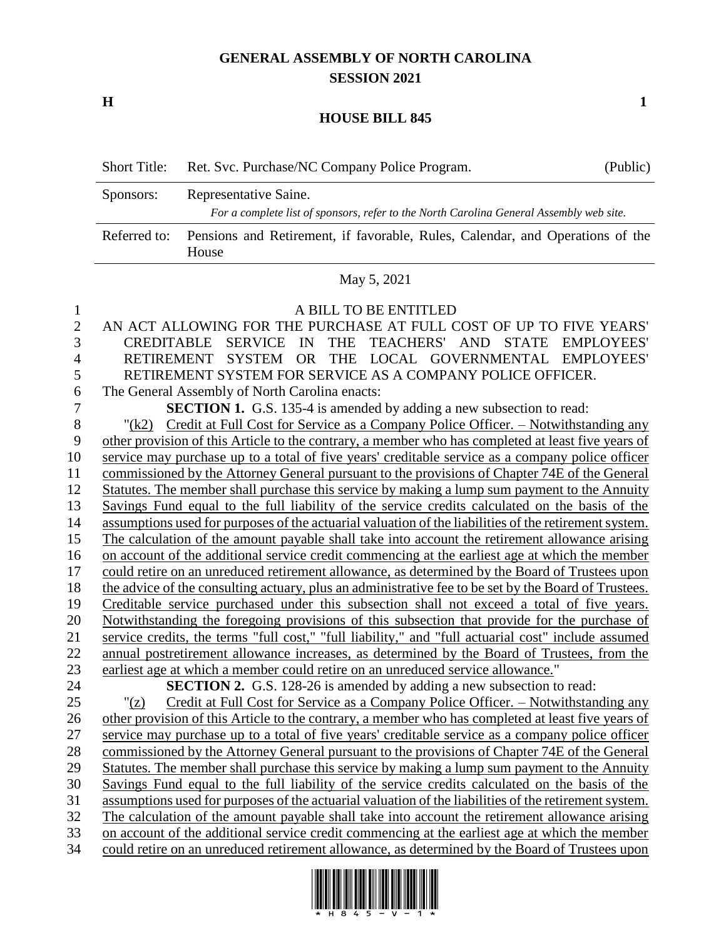## **GENERAL ASSEMBLY OF NORTH CAROLINA SESSION 2021**

**H 1**

## **HOUSE BILL 845**

| $C_{noncon}$ | Donrogantativa Caina                                       |          |
|--------------|------------------------------------------------------------|----------|
|              | Short Title: Ret. Svc. Purchase/NC Company Police Program. | (Public) |

| Sponsors:    | Representative Saine.                                                                   |
|--------------|-----------------------------------------------------------------------------------------|
|              | For a complete list of sponsors, refer to the North Carolina General Assembly web site. |
| Referred to: | Pensions and Retirement, if favorable, Rules, Calendar, and Operations of the<br>House  |

## May 5, 2021

| $\mathbf{1}$ | A BILL TO BE ENTITLED                                                                                  |
|--------------|--------------------------------------------------------------------------------------------------------|
| $\sqrt{2}$   | AN ACT ALLOWING FOR THE PURCHASE AT FULL COST OF UP TO FIVE YEARS'                                     |
| 3            | TEACHERS' AND STATE EMPLOYEES'<br>SERVICE IN<br><b>THE</b><br><b>CREDITABLE</b>                        |
| 4            | RETIREMENT SYSTEM OR THE LOCAL GOVERNMENTAL EMPLOYEES'                                                 |
| 5            | RETIREMENT SYSTEM FOR SERVICE AS A COMPANY POLICE OFFICER.                                             |
| 6            | The General Assembly of North Carolina enacts:                                                         |
| 7            | <b>SECTION 1.</b> G.S. 135-4 is amended by adding a new subsection to read:                            |
| 8            | Credit at Full Cost for Service as a Company Police Officer. - Notwithstanding any<br>"(k2)            |
| 9            | other provision of this Article to the contrary, a member who has completed at least five years of     |
| 10           | service may purchase up to a total of five years' creditable service as a company police officer       |
| 11           | commissioned by the Attorney General pursuant to the provisions of Chapter 74E of the General          |
| 12           | Statutes. The member shall purchase this service by making a lump sum payment to the Annuity           |
| 13           | Savings Fund equal to the full liability of the service credits calculated on the basis of the         |
| 14           | assumptions used for purposes of the actuarial valuation of the liabilities of the retirement system.  |
| 15           | The calculation of the amount payable shall take into account the retirement allowance arising         |
| 16           | on account of the additional service credit commencing at the earliest age at which the member         |
| 17           | could retire on an unreduced retirement allowance, as determined by the Board of Trustees upon         |
| 18           | the advice of the consulting actuary, plus an administrative fee to be set by the Board of Trustees.   |
| 19           | Creditable service purchased under this subsection shall not exceed a total of five years.             |
| 20           | Notwithstanding the foregoing provisions of this subsection that provide for the purchase of           |
| 21           | service credits, the terms "full cost," "full liability," and "full actuarial cost" include assumed    |
| 22           | annual postretirement allowance increases, as determined by the Board of Trustees, from the            |
| 23           | earliest age at which a member could retire on an unreduced service allowance."                        |
| 24           | <b>SECTION 2.</b> G.S. 128-26 is amended by adding a new subsection to read:                           |
| 25           | Credit at Full Cost for Service as a Company Police Officer. - Notwithstanding any<br>" $(\mathbf{z})$ |
| 26           | other provision of this Article to the contrary, a member who has completed at least five years of     |
| 27           | service may purchase up to a total of five years' creditable service as a company police officer       |
| 28           | commissioned by the Attorney General pursuant to the provisions of Chapter 74E of the General          |
| 29           | Statutes. The member shall purchase this service by making a lump sum payment to the Annuity           |
| 30           | Savings Fund equal to the full liability of the service credits calculated on the basis of the         |
| 31           | assumptions used for purposes of the actuarial valuation of the liabilities of the retirement system.  |
| 32           | The calculation of the amount payable shall take into account the retirement allowance arising         |
| 33           | on account of the additional service credit commencing at the earliest age at which the member         |

could retire on an unreduced retirement allowance, as determined by the Board of Trustees upon